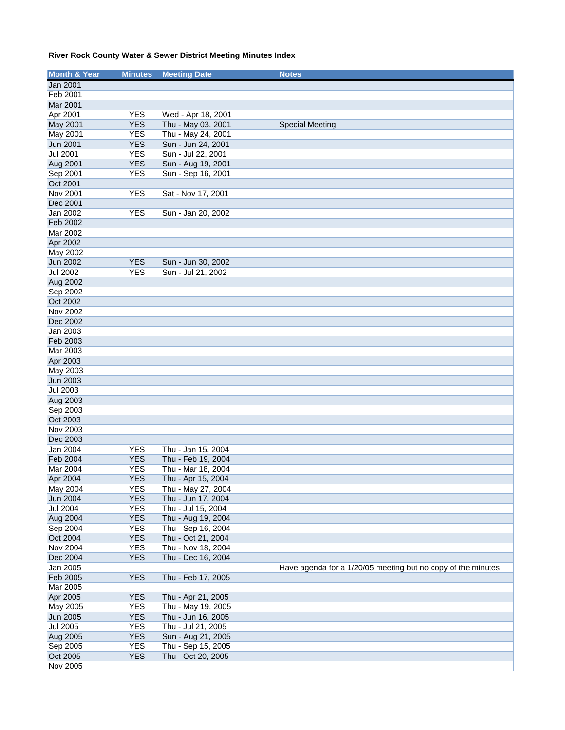| <b>Month &amp; Year</b> | <b>Minutes</b> | <b>Meeting Date</b> | <b>Notes</b>                                                 |
|-------------------------|----------------|---------------------|--------------------------------------------------------------|
| Jan 2001                |                |                     |                                                              |
| Feb 2001                |                |                     |                                                              |
| Mar 2001                |                |                     |                                                              |
| Apr 2001                | <b>YES</b>     | Wed - Apr 18, 2001  |                                                              |
| May 2001                | <b>YES</b>     | Thu - May 03, 2001  | <b>Special Meeting</b>                                       |
| May 2001                | <b>YES</b>     | Thu - May 24, 2001  |                                                              |
| Jun 2001                | <b>YES</b>     | Sun - Jun 24, 2001  |                                                              |
| <b>Jul 2001</b>         | <b>YES</b>     | Sun - Jul 22, 2001  |                                                              |
| Aug 2001                | <b>YES</b>     | Sun - Aug 19, 2001  |                                                              |
| Sep 2001                | <b>YES</b>     | Sun - Sep 16, 2001  |                                                              |
| Oct 2001                |                |                     |                                                              |
| Nov 2001                | <b>YES</b>     | Sat - Nov 17, 2001  |                                                              |
| Dec 2001                |                |                     |                                                              |
| Jan 2002                | <b>YES</b>     | Sun - Jan 20, 2002  |                                                              |
| Feb 2002                |                |                     |                                                              |
| Mar 2002                |                |                     |                                                              |
| Apr 2002                |                |                     |                                                              |
| May 2002                |                |                     |                                                              |
| Jun 2002                | <b>YES</b>     | Sun - Jun 30, 2002  |                                                              |
| <b>Jul 2002</b>         | <b>YES</b>     | Sun - Jul 21, 2002  |                                                              |
| Aug 2002                |                |                     |                                                              |
| Sep 2002                |                |                     |                                                              |
| Oct 2002                |                |                     |                                                              |
| Nov 2002                |                |                     |                                                              |
| Dec 2002                |                |                     |                                                              |
| Jan 2003                |                |                     |                                                              |
| Feb 2003                |                |                     |                                                              |
| Mar 2003                |                |                     |                                                              |
| Apr 2003                |                |                     |                                                              |
| May 2003                |                |                     |                                                              |
| Jun 2003                |                |                     |                                                              |
| <b>Jul 2003</b>         |                |                     |                                                              |
| Aug 2003                |                |                     |                                                              |
| Sep 2003                |                |                     |                                                              |
| Oct 2003                |                |                     |                                                              |
| Nov 2003                |                |                     |                                                              |
| Dec 2003                |                |                     |                                                              |
| Jan 2004                | <b>YES</b>     | Thu - Jan 15, 2004  |                                                              |
| Feb 2004                | <b>YES</b>     | Thu - Feb 19, 2004  |                                                              |
| Mar 2004                | <b>YES</b>     | Thu - Mar 18, 2004  |                                                              |
| Apr 2004                | <b>YES</b>     | Thu - Apr 15, 2004  |                                                              |
| May 2004                | <b>YES</b>     | Thu - May 27, 2004  |                                                              |
| <b>Jun 2004</b>         | <b>YES</b>     | Thu - Jun 17, 2004  |                                                              |
| <b>Jul 2004</b>         | <b>YES</b>     | Thu - Jul 15, 2004  |                                                              |
| Aug 2004                | <b>YES</b>     | Thu - Aug 19, 2004  |                                                              |
| Sep 2004                | <b>YES</b>     | Thu - Sep 16, 2004  |                                                              |
| Oct 2004                | <b>YES</b>     | Thu - Oct 21, 2004  |                                                              |
| Nov 2004                | <b>YES</b>     | Thu - Nov 18, 2004  |                                                              |
| Dec 2004                | <b>YES</b>     | Thu - Dec 16, 2004  |                                                              |
| Jan 2005                |                |                     | Have agenda for a 1/20/05 meeting but no copy of the minutes |
| Feb 2005                | <b>YES</b>     | Thu - Feb 17, 2005  |                                                              |
| Mar 2005                |                |                     |                                                              |
| Apr 2005                | <b>YES</b>     | Thu - Apr 21, 2005  |                                                              |
| May 2005                | YES            | Thu - May 19, 2005  |                                                              |
| Jun 2005                | <b>YES</b>     | Thu - Jun 16, 2005  |                                                              |
| <b>Jul 2005</b>         | <b>YES</b>     | Thu - Jul 21, 2005  |                                                              |
| Aug 2005                | <b>YES</b>     | Sun - Aug 21, 2005  |                                                              |
| Sep 2005                | <b>YES</b>     | Thu - Sep 15, 2005  |                                                              |
| Oct 2005                | <b>YES</b>     | Thu - Oct 20, 2005  |                                                              |
| Nov 2005                |                |                     |                                                              |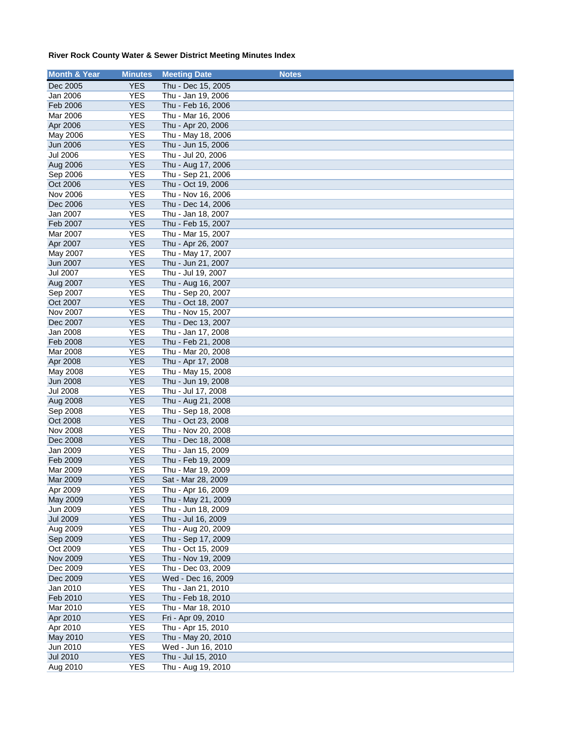| <b>Month &amp; Year</b> | <b>Minutes</b> | <b>Meeting Date</b> | <b>Notes</b> |
|-------------------------|----------------|---------------------|--------------|
| Dec 2005                | <b>YES</b>     | Thu - Dec 15, 2005  |              |
| Jan 2006                | <b>YES</b>     | Thu - Jan 19, 2006  |              |
| Feb 2006                | <b>YES</b>     | Thu - Feb 16, 2006  |              |
| Mar 2006                | <b>YES</b>     | Thu - Mar 16, 2006  |              |
| Apr 2006                | <b>YES</b>     | Thu - Apr 20, 2006  |              |
| May 2006                | <b>YES</b>     | Thu - May 18, 2006  |              |
| Jun 2006                | <b>YES</b>     | Thu - Jun 15, 2006  |              |
| <b>Jul 2006</b>         | <b>YES</b>     | Thu - Jul 20, 2006  |              |
| Aug 2006                | <b>YES</b>     | Thu - Aug 17, 2006  |              |
| Sep 2006                | <b>YES</b>     | Thu - Sep 21, 2006  |              |
| Oct 2006                | <b>YES</b>     | Thu - Oct 19, 2006  |              |
| <b>Nov 2006</b>         | <b>YES</b>     | Thu - Nov 16, 2006  |              |
| Dec 2006                | <b>YES</b>     | Thu - Dec 14, 2006  |              |
| Jan 2007                | <b>YES</b>     | Thu - Jan 18, 2007  |              |
| Feb 2007                | <b>YES</b>     | Thu - Feb 15, 2007  |              |
| Mar 2007                | <b>YES</b>     | Thu - Mar 15, 2007  |              |
| Apr 2007                | <b>YES</b>     | Thu - Apr 26, 2007  |              |
| May 2007                | <b>YES</b>     | Thu - May 17, 2007  |              |
| Jun 2007                | <b>YES</b>     | Thu - Jun 21, 2007  |              |
| <b>Jul 2007</b>         | <b>YES</b>     | Thu - Jul 19, 2007  |              |
| Aug 2007                | <b>YES</b>     | Thu - Aug 16, 2007  |              |
| Sep 2007                | <b>YES</b>     | Thu - Sep 20, 2007  |              |
| Oct 2007                | <b>YES</b>     | Thu - Oct 18, 2007  |              |
| Nov 2007                | <b>YES</b>     | Thu - Nov 15, 2007  |              |
| Dec 2007                | <b>YES</b>     | Thu - Dec 13, 2007  |              |
| Jan 2008                | <b>YES</b>     | Thu - Jan 17, 2008  |              |
| Feb 2008                | <b>YES</b>     | Thu - Feb 21, 2008  |              |
| Mar 2008                | <b>YES</b>     | Thu - Mar 20, 2008  |              |
| Apr 2008                | <b>YES</b>     | Thu - Apr 17, 2008  |              |
| May 2008                | <b>YES</b>     | Thu - May 15, 2008  |              |
| <b>Jun 2008</b>         | <b>YES</b>     | Thu - Jun 19, 2008  |              |
| <b>Jul 2008</b>         | <b>YES</b>     | Thu - Jul 17, 2008  |              |
| Aug 2008                | <b>YES</b>     | Thu - Aug 21, 2008  |              |
| Sep 2008                | <b>YES</b>     | Thu - Sep 18, 2008  |              |
| Oct 2008                | <b>YES</b>     | Thu - Oct 23, 2008  |              |
| Nov 2008                | <b>YES</b>     | Thu - Nov 20, 2008  |              |
| Dec 2008                | <b>YES</b>     | Thu - Dec 18, 2008  |              |
| Jan 2009                | <b>YES</b>     | Thu - Jan 15, 2009  |              |
| Feb 2009                | <b>YES</b>     | Thu - Feb 19, 2009  |              |
| Mar 2009                | <b>YES</b>     | Thu - Mar 19, 2009  |              |
| Mar 2009                | <b>YES</b>     | Sat - Mar 28, 2009  |              |
| Apr 2009                | <b>YES</b>     | Thu - Apr 16, 2009  |              |
| May 2009                | <b>YES</b>     | Thu - May 21, 2009  |              |
| Jun 2009                | <b>YES</b>     | Thu - Jun 18, 2009  |              |
| <b>Jul 2009</b>         | <b>YES</b>     | Thu - Jul 16, 2009  |              |
| Aug 2009                | <b>YES</b>     | Thu - Aug 20, 2009  |              |
| Sep 2009                | <b>YES</b>     | Thu - Sep 17, 2009  |              |
| Oct 2009                | <b>YES</b>     | Thu - Oct 15, 2009  |              |
| <b>Nov 2009</b>         | <b>YES</b>     | Thu - Nov 19, 2009  |              |
| Dec 2009                | <b>YES</b>     | Thu - Dec 03, 2009  |              |
| Dec 2009                | <b>YES</b>     | Wed - Dec 16, 2009  |              |
| Jan 2010                | <b>YES</b>     | Thu - Jan 21, 2010  |              |
| Feb 2010                | <b>YES</b>     | Thu - Feb 18, 2010  |              |
| Mar 2010                | <b>YES</b>     | Thu - Mar 18, 2010  |              |
| Apr 2010                | <b>YES</b>     | Fri - Apr 09, 2010  |              |
| Apr 2010                | <b>YES</b>     | Thu - Apr 15, 2010  |              |
| May 2010                | <b>YES</b>     | Thu - May 20, 2010  |              |
| Jun 2010                | <b>YES</b>     | Wed - Jun 16, 2010  |              |
| <b>Jul 2010</b>         | <b>YES</b>     | Thu - Jul 15, 2010  |              |
| Aug 2010                | <b>YES</b>     | Thu - Aug 19, 2010  |              |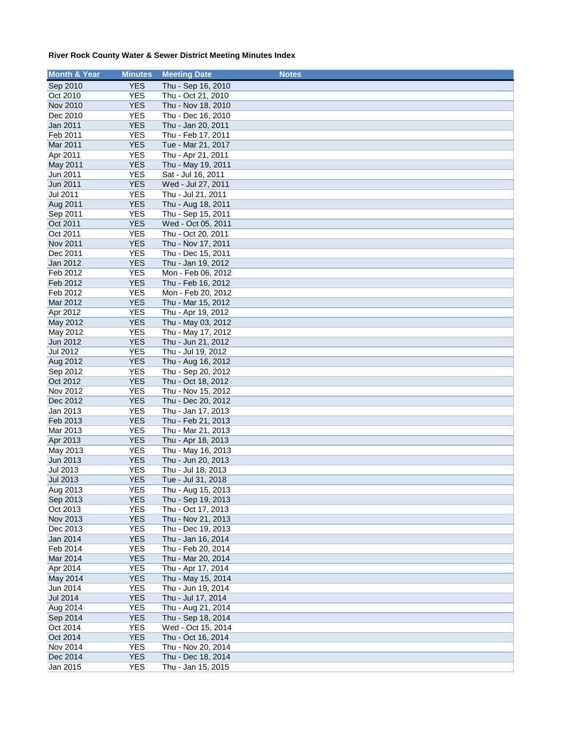| <b>Month &amp; Year</b> | <b>Minutes</b>           | <b>Meeting Date</b>                      | <b>Notes</b> |
|-------------------------|--------------------------|------------------------------------------|--------------|
| Sep 2010                | <b>YES</b>               | Thu - Sep 16, 2010                       |              |
| Oct 2010                | <b>YES</b>               | Thu - Oct 21, 2010                       |              |
| <b>Nov 2010</b>         | <b>YES</b>               | Thu - Nov 18, 2010                       |              |
| Dec 2010                | <b>YES</b>               | Thu - Dec 16, 2010                       |              |
| Jan 2011                | <b>YES</b>               | Thu - Jan 20, 2011                       |              |
| Feb 2011                | <b>YES</b>               | Thu - Feb 17, 2011                       |              |
| Mar 2011                | <b>YES</b>               | Tue - Mar 21, 2017                       |              |
| Apr 2011                | <b>YES</b>               | Thu - Apr 21, 2011                       |              |
| May 2011                | <b>YES</b>               | Thu - May 19, 2011                       |              |
| Jun 2011                | <b>YES</b>               | Sat - Jul 16, 2011                       |              |
| Jun 2011                | <b>YES</b>               | Wed - Jul 27, 2011                       |              |
| Jul 2011                | <b>YES</b>               | Thu - Jul 21, 2011                       |              |
| Aug 2011                | <b>YES</b>               | Thu - Aug 18, 2011                       |              |
| Sep 2011                | <b>YES</b>               | Thu - Sep 15, 2011                       |              |
| Oct 2011                | <b>YES</b>               | Wed - Oct 05, 2011                       |              |
| Oct 2011                | <b>YES</b>               | Thu - Oct 20, 2011                       |              |
| Nov 2011                | <b>YES</b>               | Thu - Nov 17, 2011                       |              |
| Dec 2011                | <b>YES</b>               | Thu - Dec 15, 2011                       |              |
| Jan 2012                | <b>YES</b>               | Thu - Jan 19, 2012                       |              |
| Feb 2012                | <b>YES</b>               | Mon - Feb 06, 2012                       |              |
| Feb 2012<br>Feb 2012    | <b>YES</b><br><b>YES</b> | Thu - Feb 16, 2012<br>Mon - Feb 20, 2012 |              |
| Mar 2012                | <b>YES</b>               | Thu - Mar 15, 2012                       |              |
| Apr 2012                | <b>YES</b>               | Thu - Apr 19, 2012                       |              |
| May 2012                | <b>YES</b>               | Thu - May 03, 2012                       |              |
| May 2012                | <b>YES</b>               | Thu - May 17, 2012                       |              |
| Jun 2012                | <b>YES</b>               | Thu - Jun 21, 2012                       |              |
| Jul 2012                | <b>YES</b>               | Thu - Jul 19, 2012                       |              |
| Aug 2012                | <b>YES</b>               | Thu - Aug 16, 2012                       |              |
| Sep 2012                | <b>YES</b>               | Thu - Sep 20, 2012                       |              |
| Oct 2012                | <b>YES</b>               | Thu - Oct 18, 2012                       |              |
| Nov 2012                | <b>YES</b>               | Thu - Nov 15, 2012                       |              |
| Dec 2012                | <b>YES</b>               | Thu - Dec 20, 2012                       |              |
| Jan 2013                | <b>YES</b>               | Thu - Jan 17, 2013                       |              |
| Feb 2013                | <b>YES</b>               | Thu - Feb 21, 2013                       |              |
| Mar 2013                | <b>YES</b>               | Thu - Mar 21, 2013                       |              |
| Apr 2013                | <b>YES</b>               | Thu - Apr 18, 2013                       |              |
| May 2013                | <b>YES</b>               | Thu - May 16, 2013                       |              |
| Jun 2013                | <b>YES</b>               | Thu - Jun 20, 2013                       |              |
| Jul 2013                | <b>YES</b>               | Thu - Jul 18, 2013                       |              |
| <b>Jul 2013</b>         | <b>YES</b>               | Tue - Jul 31, 2018                       |              |
| Aug 2013                | <b>YES</b><br><b>YES</b> | Thu - Aug 15, 2013<br>Thu - Sep 19, 2013 |              |
| Sep 2013<br>Oct 2013    | <b>YES</b>               | Thu - Oct 17, 2013                       |              |
| Nov 2013                | <b>YES</b>               | Thu - Nov 21, 2013                       |              |
| Dec 2013                | <b>YES</b>               | Thu - Dec 19, 2013                       |              |
| Jan 2014                | <b>YES</b>               | Thu - Jan 16, 2014                       |              |
| Feb 2014                | YES                      | Thu - Feb 20, 2014                       |              |
| Mar 2014                | <b>YES</b>               | Thu - Mar 20, 2014                       |              |
| Apr 2014                | <b>YES</b>               | Thu - Apr 17, 2014                       |              |
| May 2014                | <b>YES</b>               | Thu - May 15, 2014                       |              |
| Jun 2014                | <b>YES</b>               | Thu - Jun 19, 2014                       |              |
| <b>Jul 2014</b>         | <b>YES</b>               | Thu - Jul 17, 2014                       |              |
| Aug 2014                | <b>YES</b>               | Thu - Aug 21, 2014                       |              |
| Sep 2014                | <b>YES</b>               | Thu - Sep 18, 2014                       |              |
| Oct 2014                | <b>YES</b>               | Wed - Oct 15, 2014                       |              |
| Oct 2014                | <b>YES</b>               | Thu - Oct 16, 2014                       |              |
| Nov 2014                | <b>YES</b>               | Thu - Nov 20, 2014                       |              |
| Dec 2014                | <b>YES</b>               | Thu - Dec 18, 2014                       |              |
| Jan 2015                | <b>YES</b>               | Thu - Jan 15, 2015                       |              |